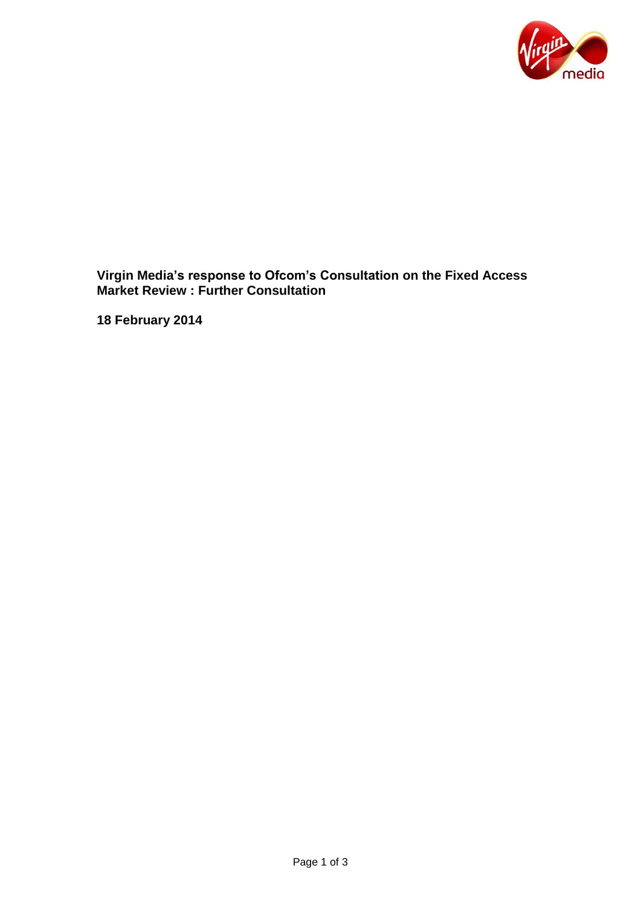

**Virgin Media's response to Ofcom's Consultation on the Fixed Access Market Review : Further Consultation** 

**18 February 2014**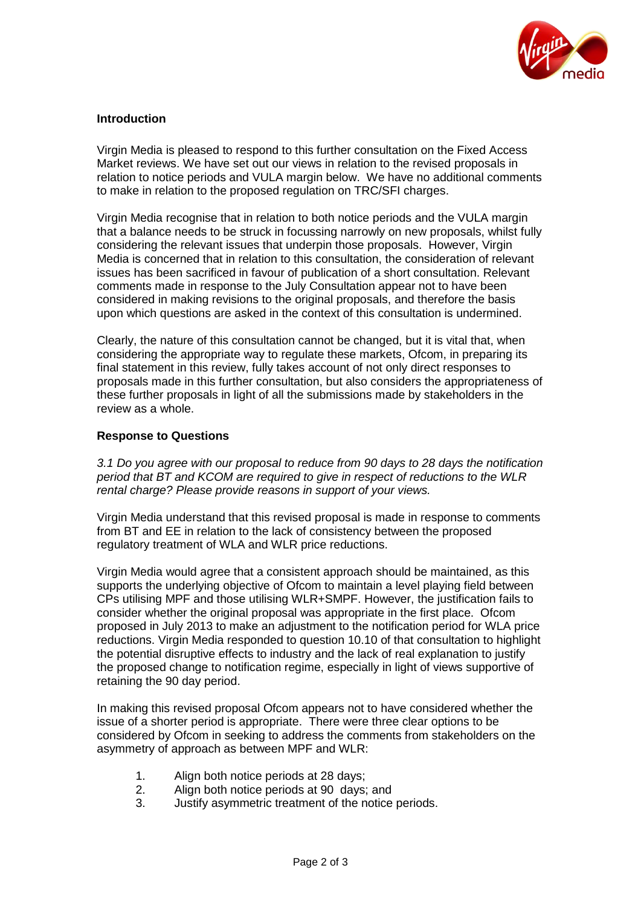

## **Introduction**

Virgin Media is pleased to respond to this further consultation on the Fixed Access Market reviews. We have set out our views in relation to the revised proposals in relation to notice periods and VULA margin below. We have no additional comments to make in relation to the proposed regulation on TRC/SFI charges.

Virgin Media recognise that in relation to both notice periods and the VULA margin that a balance needs to be struck in focussing narrowly on new proposals, whilst fully considering the relevant issues that underpin those proposals. However, Virgin Media is concerned that in relation to this consultation, the consideration of relevant issues has been sacrificed in favour of publication of a short consultation. Relevant comments made in response to the July Consultation appear not to have been considered in making revisions to the original proposals, and therefore the basis upon which questions are asked in the context of this consultation is undermined.

Clearly, the nature of this consultation cannot be changed, but it is vital that, when considering the appropriate way to regulate these markets, Ofcom, in preparing its final statement in this review, fully takes account of not only direct responses to proposals made in this further consultation, but also considers the appropriateness of these further proposals in light of all the submissions made by stakeholders in the review as a whole.

## **Response to Questions**

*3.1 Do you agree with our proposal to reduce from 90 days to 28 days the notification period that BT and KCOM are required to give in respect of reductions to the WLR rental charge? Please provide reasons in support of your views.*

Virgin Media understand that this revised proposal is made in response to comments from BT and EE in relation to the lack of consistency between the proposed regulatory treatment of WLA and WLR price reductions.

Virgin Media would agree that a consistent approach should be maintained, as this supports the underlying objective of Ofcom to maintain a level playing field between CPs utilising MPF and those utilising WLR+SMPF. However, the justification fails to consider whether the original proposal was appropriate in the first place. Ofcom proposed in July 2013 to make an adjustment to the notification period for WLA price reductions. Virgin Media responded to question 10.10 of that consultation to highlight the potential disruptive effects to industry and the lack of real explanation to justify the proposed change to notification regime, especially in light of views supportive of retaining the 90 day period.

In making this revised proposal Ofcom appears not to have considered whether the issue of a shorter period is appropriate. There were three clear options to be considered by Ofcom in seeking to address the comments from stakeholders on the asymmetry of approach as between MPF and WLR:

- 1. Align both notice periods at 28 days;
- 2. Align both notice periods at 90 days; and
- 3. Justify asymmetric treatment of the notice periods.